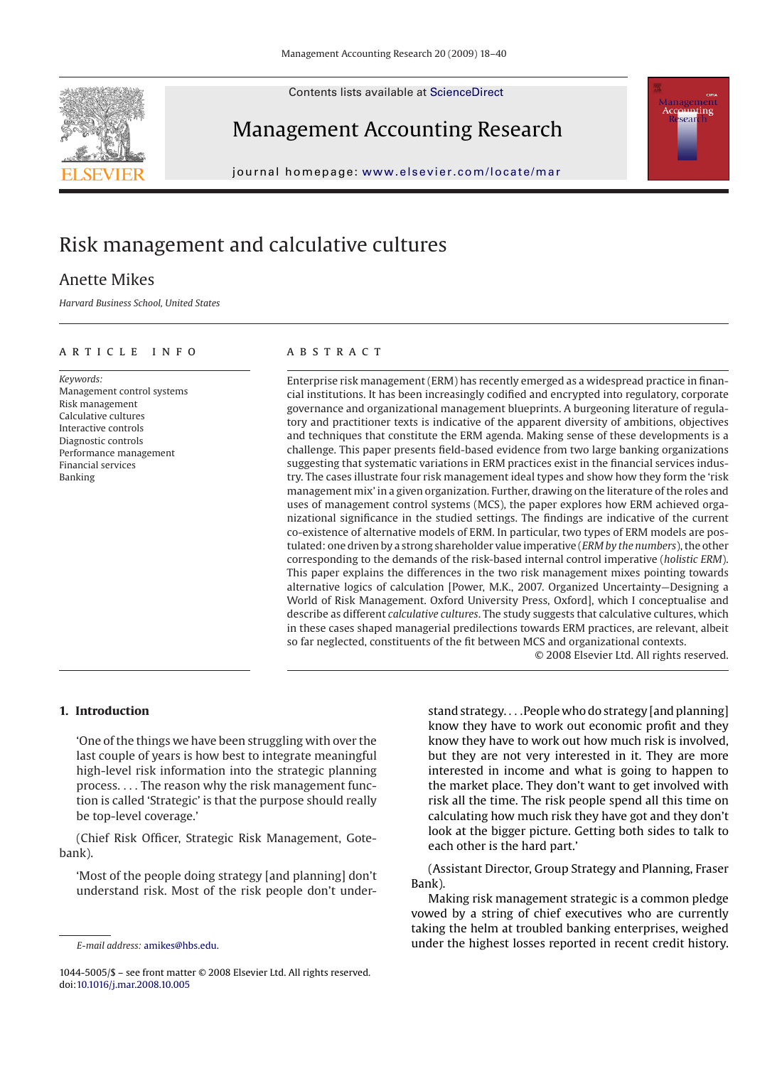Contents lists available at [ScienceDirect](http://www.sciencedirect.com/science/journal/10445005)





## Management Accounting Research

journal homepage: [www.elsevier.com/locate/mar](http://www.elsevier.com/locate/mar)

# Risk management and calculative cultures

### Anette Mikes

*Harvard Business School, United States*

#### article info

*Keywords:* Management control systems Risk management Calculative cultures Interactive controls Diagnostic controls Performance management Financial services Banking

#### **ABSTRACT**

Enterprise risk management (ERM) has recently emerged as a widespread practice in financial institutions. It has been increasingly codified and encrypted into regulatory, corporate governance and organizational management blueprints. A burgeoning literature of regulatory and practitioner texts is indicative of the apparent diversity of ambitions, objectives and techniques that constitute the ERM agenda. Making sense of these developments is a challenge. This paper presents field-based evidence from two large banking organizations suggesting that systematic variations in ERM practices exist in the financial services industry. The cases illustrate four risk management ideal types and show how they form the 'risk management mix' in a given organization. Further, drawing on the literature of the roles and uses of management control systems (MCS), the paper explores how ERM achieved organizational significance in the studied settings. The findings are indicative of the current co-existence of alternative models of ERM. In particular, two types of ERM models are postulated: one driven by a strong shareholder value imperative (*ERM by the numbers*), the other corresponding to the demands of the risk-based internal control imperative (*holistic ERM*). This paper explains the differences in the two risk management mixes pointing towards alternative logics of calculation [Power, M.K., 2007. Organized Uncertainty—Designing a World of Risk Management. Oxford University Press, Oxford], which I conceptualise and describe as different *calculative cultures*. The study suggests that calculative cultures, which in these cases shaped managerial predilections towards ERM practices, are relevant, albeit so far neglected, constituents of the fit between MCS and organizational contexts.

© 2008 Elsevier Ltd. All rights reserved.

#### **1. Introduction**

'One of the things we have been struggling with over the last couple of years is how best to integrate meaningful high-level risk information into the strategic planning process. ... The reason why the risk management function is called 'Strategic' is that the purpose should really be top-level coverage.'

(Chief Risk Officer, Strategic Risk Management, Gotebank).

'Most of the people doing strategy [and planning] don't understand risk. Most of the risk people don't understand strategy....People who do strategy [and planning] know they have to work out economic profit and they know they have to work out how much risk is involved, but they are not very interested in it. They are more interested in income and what is going to happen to the market place. They don't want to get involved with risk all the time. The risk people spend all this time on calculating how much risk they have got and they don't look at the bigger picture. Getting both sides to talk to each other is the hard part.'

(Assistant Director, Group Strategy and Planning, Fraser Bank).

Making risk management strategic is a common pledge vowed by a string of chief executives who are currently taking the helm at troubled banking enterprises, weighed under the highest losses reported in recent credit history.

*E-mail address:* [amikes@hbs.edu.](mailto:amikes@hbs.edu)

<sup>1044-5005/\$ –</sup> see front matter © 2008 Elsevier Ltd. All rights reserved. doi[:10.1016/j.mar.2008.10.005](dx.doi.org/10.1016/j.mar.2008.10.005)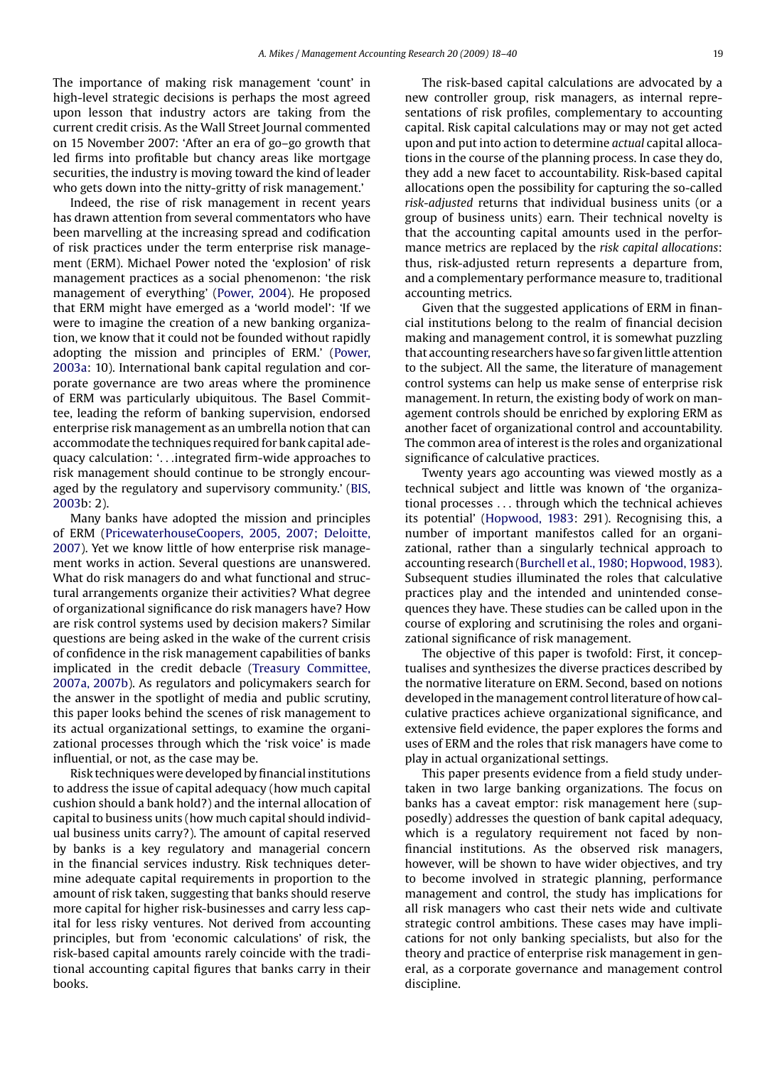The importance of making risk management 'count' in high-level strategic decisions is perhaps the most agreed upon lesson that industry actors are taking from the current credit crisis. As the Wall Street Journal commented on 15 November 2007: 'After an era of go–go growth that led firms into profitable but chancy areas like mortgage securities, the industry is moving toward the kind of leader who gets down into the nitty-gritty of risk management.'

Indeed, the rise of risk management in recent years has drawn attention from several commentators who have been marvelling at the increasing spread and codification of risk practices under the term enterprise risk management (ERM). Michael Power noted the 'explosion' of risk management practices as a social phenomenon: 'the risk management of everything' [\(Power, 2004\).](#page--1-0) He proposed that ERM might have emerged as a 'world model': 'If we were to imagine the creation of a new banking organization, we know that it could not be founded without rapidly adopting the mission and principles of ERM.' ([Power,](#page--1-0) [2003a:](#page--1-0) 10). International bank capital regulation and corporate governance are two areas where the prominence of ERM was particularly ubiquitous. The Basel Committee, leading the reform of banking supervision, endorsed enterprise risk management as an umbrella notion that can accommodate the techniques required for bank capital adequacy calculation: '...integrated firm-wide approaches to risk management should continue to be strongly encouraged by the regulatory and supervisory community.' [\(BIS,](#page--1-0) [2003b](#page--1-0): 2).

Many banks have adopted the mission and principles of ERM [\(PricewaterhouseCoopers, 2005, 2007; Deloitte,](#page--1-0) [2007\).](#page--1-0) Yet we know little of how enterprise risk management works in action. Several questions are unanswered. What do risk managers do and what functional and structural arrangements organize their activities? What degree of organizational significance do risk managers have? How are risk control systems used by decision makers? Similar questions are being asked in the wake of the current crisis of confidence in the risk management capabilities of banks implicated in the credit debacle ([Treasury Committee,](#page--1-0) [2007a, 2007b\).](#page--1-0) As regulators and policymakers search for the answer in the spotlight of media and public scrutiny, this paper looks behind the scenes of risk management to its actual organizational settings, to examine the organizational processes through which the 'risk voice' is made influential, or not, as the case may be.

Risk techniques were developed by financial institutions to address the issue of capital adequacy (how much capital cushion should a bank hold?) and the internal allocation of capital to business units (how much capital should individual business units carry?). The amount of capital reserved by banks is a key regulatory and managerial concern in the financial services industry. Risk techniques determine adequate capital requirements in proportion to the amount of risk taken, suggesting that banks should reserve more capital for higher risk-businesses and carry less capital for less risky ventures. Not derived from accounting principles, but from 'economic calculations' of risk, the risk-based capital amounts rarely coincide with the traditional accounting capital figures that banks carry in their books.

The risk-based capital calculations are advocated by a new controller group, risk managers, as internal representations of risk profiles, complementary to accounting capital. Risk capital calculations may or may not get acted upon and put into action to determine *actual* capital allocations in the course of the planning process. In case they do, they add a new facet to accountability. Risk-based capital allocations open the possibility for capturing the so-called *risk-adjusted* returns that individual business units (or a group of business units) earn. Their technical novelty is that the accounting capital amounts used in the performance metrics are replaced by the *risk capital allocations*: thus, risk-adjusted return represents a departure from, and a complementary performance measure to, traditional accounting metrics.

Given that the suggested applications of ERM in financial institutions belong to the realm of financial decision making and management control, it is somewhat puzzling that accounting researchers have so far given little attention to the subject. All the same, the literature of management control systems can help us make sense of enterprise risk management. In return, the existing body of work on management controls should be enriched by exploring ERM as another facet of organizational control and accountability. The common area of interest is the roles and organizational significance of calculative practices.

Twenty years ago accounting was viewed mostly as a technical subject and little was known of 'the organizational processes ... through which the technical achieves its potential' [\(Hopwood, 1983:](#page--1-0) 291). Recognising this, a number of important manifestos called for an organizational, rather than a singularly technical approach to accounting research [\(Burchell et al., 1980; Hopwood, 1983\).](#page--1-0) Subsequent studies illuminated the roles that calculative practices play and the intended and unintended consequences they have. These studies can be called upon in the course of exploring and scrutinising the roles and organizational significance of risk management.

The objective of this paper is twofold: First, it conceptualises and synthesizes the diverse practices described by the normative literature on ERM. Second, based on notions developed in the management control literature of how calculative practices achieve organizational significance, and extensive field evidence, the paper explores the forms and uses of ERM and the roles that risk managers have come to play in actual organizational settings.

This paper presents evidence from a field study undertaken in two large banking organizations. The focus on banks has a caveat emptor: risk management here (supposedly) addresses the question of bank capital adequacy, which is a regulatory requirement not faced by nonfinancial institutions. As the observed risk managers, however, will be shown to have wider objectives, and try to become involved in strategic planning, performance management and control, the study has implications for all risk managers who cast their nets wide and cultivate strategic control ambitions. These cases may have implications for not only banking specialists, but also for the theory and practice of enterprise risk management in general, as a corporate governance and management control discipline.